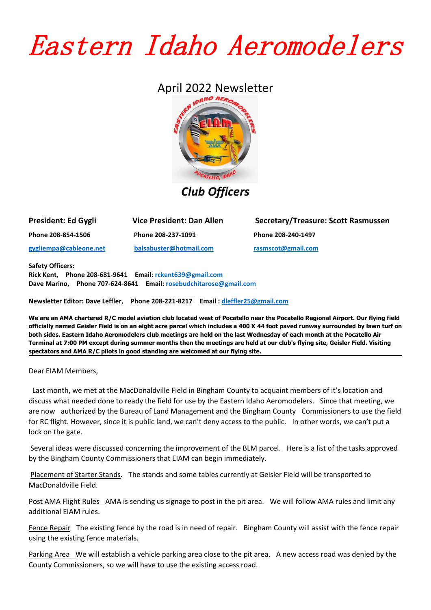## Eastern Idaho Aeromodelers

## April 2022 Newsletter



*Club Officers*

| President: Ed Gygli    | <b>Vice President: Dan Allen</b> |
|------------------------|----------------------------------|
| Phone 208-854-1506     | Phone 208-237-1091               |
| gygliempa@cableone.net | balsabuster@hotmail.com          |

**President: Ed Gygli Vice President: Dan Allen Secretary/Treasure: Scott Rasmussen Phone 208-854-1506 Phone 208-237-1091 Phone 208-240-1497 [gygliempa@cableone.net](mailto:gygliempa@cableone.net) [balsabuster@hotmail.com](mailto:balsabuster@hotmail.com) [rasmscot@gmail.com](mailto:rasmscot@gmail.com)**

**Safety Officers:**

**Rick Kent, Phone 208-681-9641 Email: [rckent639@gmail.com](mailto:rckent639@gmail.com) Dave Marino, Phone 707-624-8641 Email: [rosebudchitarose@gmail.com](mailto:colijackson@cableone.net)**

**Newsletter Editor: Dave Leffler, Phone 208-221-8217 Email : [dleffler25@gmail.com](mailto:dleffler25@gmail.com)**

We are an AMA chartered R/C model aviation club located west of Pocatello near the Pocatello Regional Airport. Our flying field officially named Geisler Field is on an eight acre parcel which includes a 400 X 44 foot paved runway surrounded by lawn turf on both sides. Eastern Idaho Aeromodelers club meetings are held on the last Wednesday of each month at the Pocatello Air Terminal at 7:00 PM except during summer months then the meetings are held at our club's flying site, Geisler Field. Visiting **spectators and AMA R/C pilots in good standing are welcomed at our flying site.**

Dear EIAM Members,

Last month, we met at the MacDonaldville Field in Bingham County to acquaint members of it's location and discuss what needed done to ready the field for use by the Eastern Idaho Aeromodelers. Since that meeting, we are now authorized by the Bureau of Land Management and the Bingham County Commissioners to use the field for RC flight. However, since it is public land, we can't deny access to the public. In other words, we can't put a lock on the gate.

Several ideas were discussed concerning the improvement of the BLM parcel. Here is alist of the tasks approved by the Bingham County Commissioners that EIAM can begin immediately.

Placement of Starter Stands. The stands and some tables currently at Geisler Field will be transported to MacDonaldville Field.

Post AMA Flight Rules AMA is sending us signage to post in the pit area. We will follow AMA rules and limit any additional EIAM rules.

Fence Repair The existing fence by the road is in need of repair. Bingham County will assist with the fence repair using the existing fence materials.

Parking Area We will establish a vehicle parking area close to the pit area. A new access road was denied by the County Commissioners, so we will have to use the existing access road.